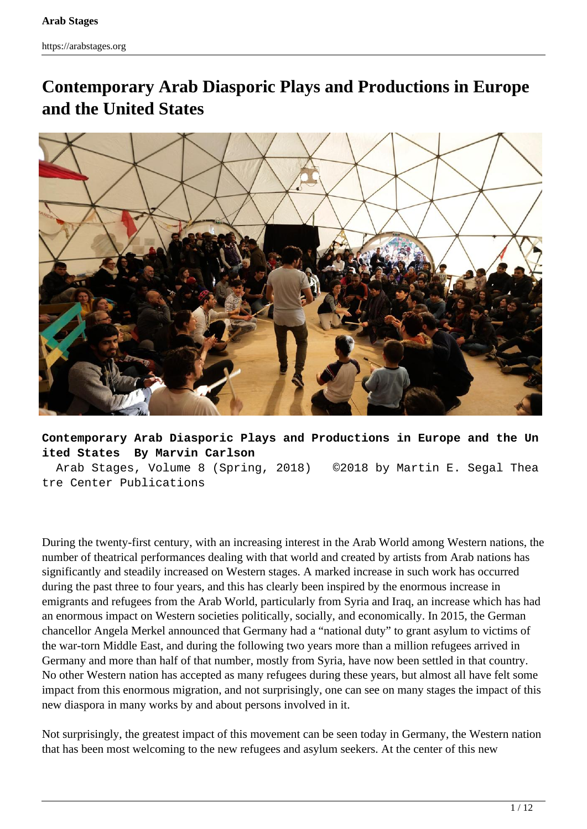# **Contemporary Arab Diasporic Plays and Productions in Europe and the United States**



**Contemporary Arab Diasporic Plays and Productions in Europe and the Un ited States By Marvin Carlson**

 Arab Stages, Volume 8 (Spring, 2018) ©2018 by Martin E. Segal Thea tre Center Publications

During the twenty-first century, with an increasing interest in the Arab World among Western nations, the number of theatrical performances dealing with that world and created by artists from Arab nations has significantly and steadily increased on Western stages. A marked increase in such work has occurred during the past three to four years, and this has clearly been inspired by the enormous increase in emigrants and refugees from the Arab World, particularly from Syria and Iraq, an increase which has had an enormous impact on Western societies politically, socially, and economically. In 2015, the German chancellor Angela Merkel announced that Germany had a "national duty" to grant asylum to victims of the war-torn Middle East, and during the following two years more than a million refugees arrived in Germany and more than half of that number, mostly from Syria, have now been settled in that country. No other Western nation has accepted as many refugees during these years, but almost all have felt some impact from this enormous migration, and not surprisingly, one can see on many stages the impact of this new diaspora in many works by and about persons involved in it.

Not surprisingly, the greatest impact of this movement can be seen today in Germany, the Western nation that has been most welcoming to the new refugees and asylum seekers. At the center of this new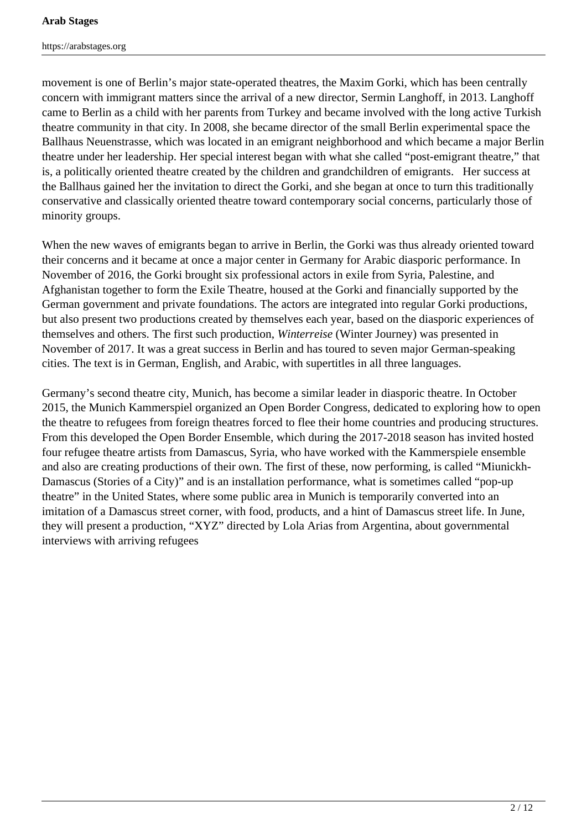movement is one of Berlin's major state-operated theatres, the Maxim Gorki, which has been centrally concern with immigrant matters since the arrival of a new director, Sermin Langhoff, in 2013. Langhoff came to Berlin as a child with her parents from Turkey and became involved with the long active Turkish theatre community in that city. In 2008, she became director of the small Berlin experimental space the Ballhaus Neuenstrasse, which was located in an emigrant neighborhood and which became a major Berlin theatre under her leadership. Her special interest began with what she called "post-emigrant theatre," that is, a politically oriented theatre created by the children and grandchildren of emigrants. Her success at the Ballhaus gained her the invitation to direct the Gorki, and she began at once to turn this traditionally conservative and classically oriented theatre toward contemporary social concerns, particularly those of minority groups.

When the new waves of emigrants began to arrive in Berlin, the Gorki was thus already oriented toward their concerns and it became at once a major center in Germany for Arabic diasporic performance. In November of 2016, the Gorki brought six professional actors in exile from Syria, Palestine, and Afghanistan together to form the Exile Theatre, housed at the Gorki and financially supported by the German government and private foundations. The actors are integrated into regular Gorki productions, but also present two productions created by themselves each year, based on the diasporic experiences of themselves and others. The first such production, *Winterreise* (Winter Journey) was presented in November of 2017. It was a great success in Berlin and has toured to seven major German-speaking cities. The text is in German, English, and Arabic, with supertitles in all three languages.

Germany's second theatre city, Munich, has become a similar leader in diasporic theatre. In October 2015, the Munich Kammerspiel organized an Open Border Congress, dedicated to exploring how to open the theatre to refugees from foreign theatres forced to flee their home countries and producing structures. From this developed the Open Border Ensemble, which during the 2017-2018 season has invited hosted four refugee theatre artists from Damascus, Syria, who have worked with the Kammerspiele ensemble and also are creating productions of their own. The first of these, now performing, is called "Miunickh-Damascus (Stories of a City)" and is an installation performance, what is sometimes called "pop-up theatre" in the United States, where some public area in Munich is temporarily converted into an imitation of a Damascus street corner, with food, products, and a hint of Damascus street life. In June, they will present a production, "XYZ" directed by Lola Arias from Argentina, about governmental interviews with arriving refugees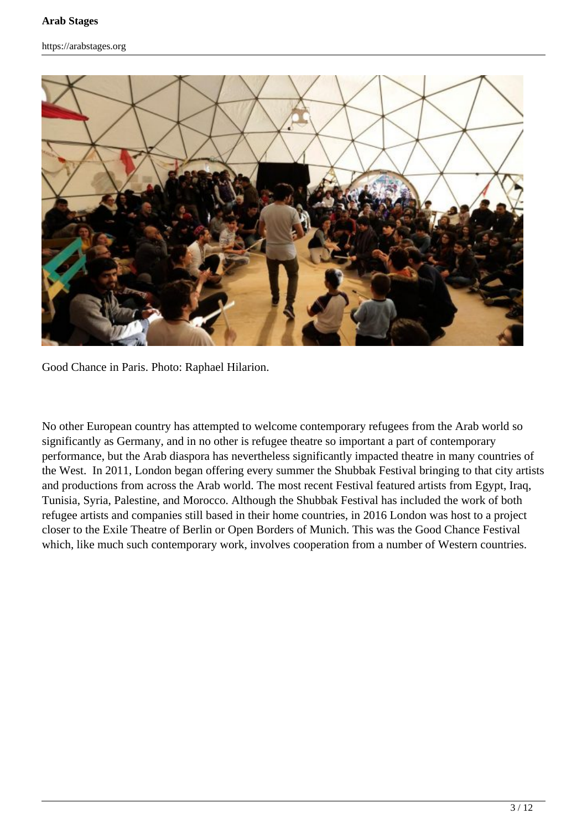

Good Chance in Paris. Photo: Raphael Hilarion.

No other European country has attempted to welcome contemporary refugees from the Arab world so significantly as Germany, and in no other is refugee theatre so important a part of contemporary performance, but the Arab diaspora has nevertheless significantly impacted theatre in many countries of the West. In 2011, London began offering every summer the Shubbak Festival bringing to that city artists and productions from across the Arab world. The most recent Festival featured artists from Egypt, Iraq, Tunisia, Syria, Palestine, and Morocco. Although the Shubbak Festival has included the work of both refugee artists and companies still based in their home countries, in 2016 London was host to a project closer to the Exile Theatre of Berlin or Open Borders of Munich. This was the Good Chance Festival which, like much such contemporary work, involves cooperation from a number of Western countries.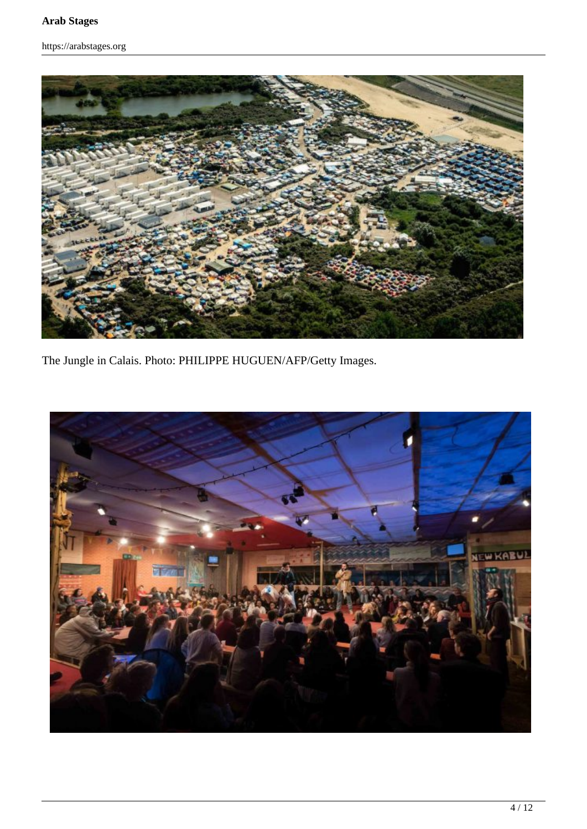https://arabstages.org



The Jungle in Calais. Photo: PHILIPPE HUGUEN/AFP/Getty Images.

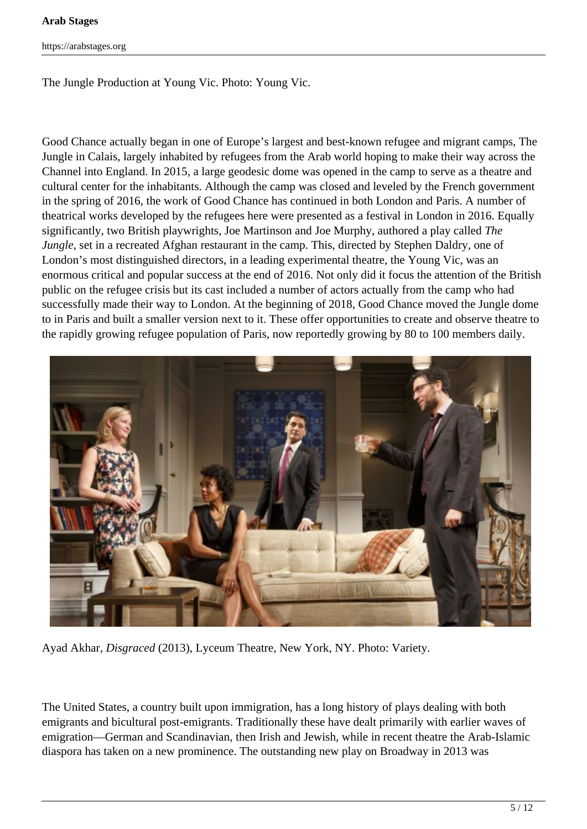#### **Arab Stages**

https://arabstages.org

The Jungle Production at Young Vic. Photo: Young Vic.

Good Chance actually began in one of Europe's largest and best-known refugee and migrant camps, The Jungle in Calais, largely inhabited by refugees from the Arab world hoping to make their way across the Channel into England. In 2015, a large geodesic dome was opened in the camp to serve as a theatre and cultural center for the inhabitants. Although the camp was closed and leveled by the French government in the spring of 2016, the work of Good Chance has continued in both London and Paris. A number of theatrical works developed by the refugees here were presented as a festival in London in 2016. Equally significantly, two British playwrights, Joe Martinson and Joe Murphy, authored a play called *The Jungle*, set in a recreated Afghan restaurant in the camp. This, directed by Stephen Daldry, one of London's most distinguished directors, in a leading experimental theatre, the Young Vic, was an enormous critical and popular success at the end of 2016. Not only did it focus the attention of the British public on the refugee crisis but its cast included a number of actors actually from the camp who had successfully made their way to London. At the beginning of 2018, Good Chance moved the Jungle dome to in Paris and built a smaller version next to it. These offer opportunities to create and observe theatre to the rapidly growing refugee population of Paris, now reportedly growing by 80 to 100 members daily.



Ayad Akhar, *Disgraced* (2013), Lyceum Theatre, New York, NY. Photo: Variety.

The United States, a country built upon immigration, has a long history of plays dealing with both emigrants and bicultural post-emigrants. Traditionally these have dealt primarily with earlier waves of emigration—German and Scandinavian, then Irish and Jewish, while in recent theatre the Arab-Islamic diaspora has taken on a new prominence. The outstanding new play on Broadway in 2013 was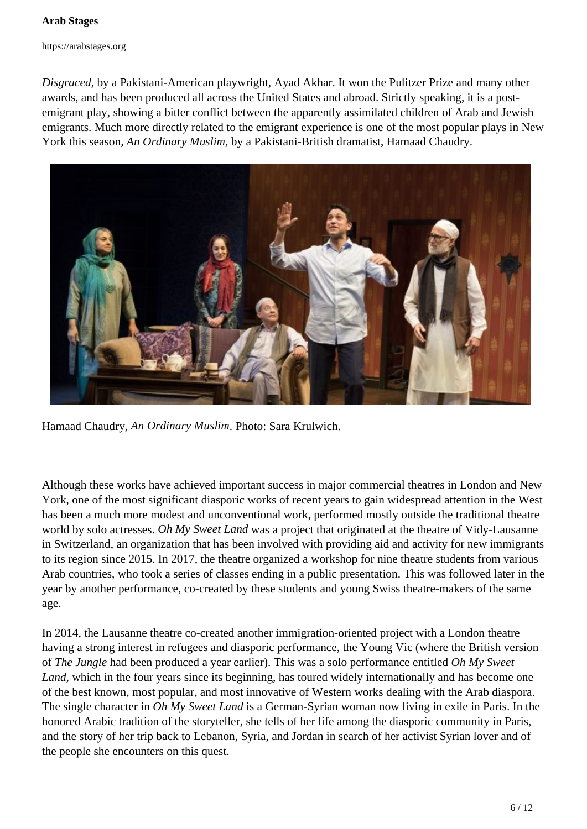#### **Arab Stages**

https://arabstages.org

*Disgraced,* by a Pakistani-American playwright, Ayad Akhar. It won the Pulitzer Prize and many other awards, and has been produced all across the United States and abroad. Strictly speaking, it is a postemigrant play, showing a bitter conflict between the apparently assimilated children of Arab and Jewish emigrants. Much more directly related to the emigrant experience is one of the most popular plays in New York this season*, An Ordinary Muslim,* by a Pakistani-British dramatist, Hamaad Chaudry.



Hamaad Chaudry, *An Ordinary Muslim*. Photo: Sara Krulwich.

Although these works have achieved important success in major commercial theatres in London and New York, one of the most significant diasporic works of recent years to gain widespread attention in the West has been a much more modest and unconventional work, performed mostly outside the traditional theatre world by solo actresses. *Oh My Sweet Land* was a project that originated at the theatre of Vidy-Lausanne in Switzerland, an organization that has been involved with providing aid and activity for new immigrants to its region since 2015. In 2017, the theatre organized a workshop for nine theatre students from various Arab countries, who took a series of classes ending in a public presentation. This was followed later in the year by another performance, co-created by these students and young Swiss theatre-makers of the same age.

In 2014, the Lausanne theatre co-created another immigration-oriented project with a London theatre having a strong interest in refugees and diasporic performance, the Young Vic (where the British version of *The Jungle* had been produced a year earlier). This was a solo performance entitled *Oh My Sweet Land*, which in the four years since its beginning, has toured widely internationally and has become one of the best known, most popular, and most innovative of Western works dealing with the Arab diaspora. The single character in *Oh My Sweet Land* is a German-Syrian woman now living in exile in Paris. In the honored Arabic tradition of the storyteller, she tells of her life among the diasporic community in Paris, and the story of her trip back to Lebanon, Syria, and Jordan in search of her activist Syrian lover and of the people she encounters on this quest.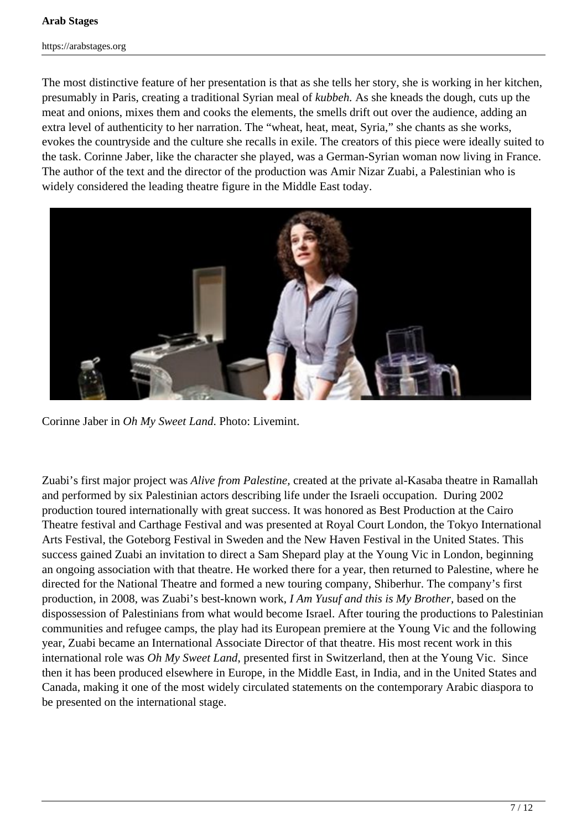The most distinctive feature of her presentation is that as she tells her story, she is working in her kitchen, presumably in Paris, creating a traditional Syrian meal of *kubbeh.* As she kneads the dough, cuts up the meat and onions, mixes them and cooks the elements, the smells drift out over the audience, adding an extra level of authenticity to her narration. The "wheat, heat, meat, Syria," she chants as she works, evokes the countryside and the culture she recalls in exile. The creators of this piece were ideally suited to the task. Corinne Jaber, like the character she played, was a German-Syrian woman now living in France. The author of the text and the director of the production was Amir Nizar Zuabi, a Palestinian who is widely considered the leading theatre figure in the Middle East today.



Corinne Jaber in *Oh My Sweet Land*. Photo: Livemint.

Zuabi's first major project was *Alive from Palestine,* created at the private al-Kasaba theatre in Ramallah and performed by six Palestinian actors describing life under the Israeli occupation. During 2002 production toured internationally with great success. It was honored as Best Production at the Cairo Theatre festival and Carthage Festival and was presented at Royal Court London, the Tokyo International Arts Festival, the Goteborg Festival in Sweden and the New Haven Festival in the United States. This success gained Zuabi an invitation to direct a Sam Shepard play at the Young Vic in London, beginning an ongoing association with that theatre. He worked there for a year, then returned to Palestine, where he directed for the National Theatre and formed a new touring company, Shiberhur. The company's first production, in 2008, was Zuabi's best-known work, *I Am Yusuf and this is My Brother,* based on the dispossession of Palestinians from what would become Israel. After touring the productions to Palestinian communities and refugee camps, the play had its European premiere at the Young Vic and the following year, Zuabi became an International Associate Director of that theatre. His most recent work in this international role was *Oh My Sweet Land*, presented first in Switzerland, then at the Young Vic. Since then it has been produced elsewhere in Europe, in the Middle East, in India, and in the United States and Canada, making it one of the most widely circulated statements on the contemporary Arabic diaspora to be presented on the international stage.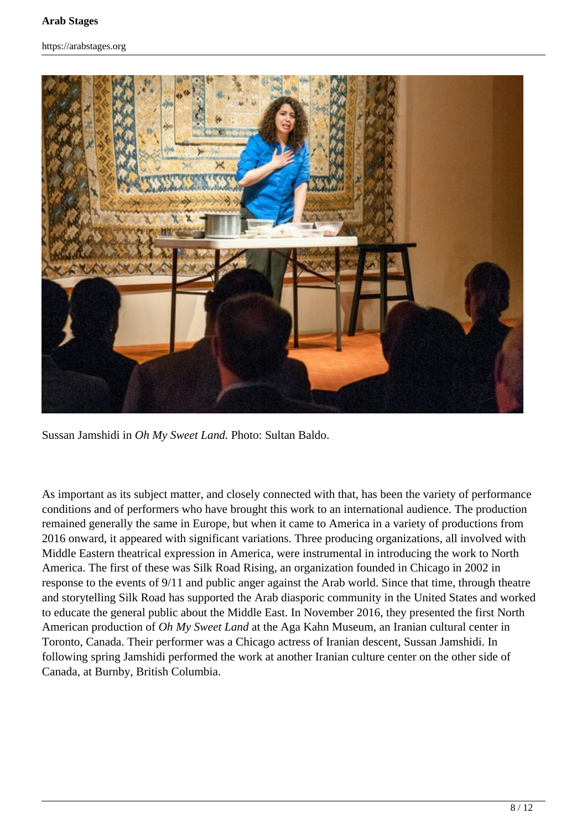https://arabstages.org



Sussan Jamshidi in *Oh My Sweet Land.* Photo: Sultan Baldo.

As important as its subject matter, and closely connected with that, has been the variety of performance conditions and of performers who have brought this work to an international audience. The production remained generally the same in Europe, but when it came to America in a variety of productions from 2016 onward, it appeared with significant variations. Three producing organizations, all involved with Middle Eastern theatrical expression in America, were instrumental in introducing the work to North America. The first of these was Silk Road Rising, an organization founded in Chicago in 2002 in response to the events of 9/11 and public anger against the Arab world. Since that time, through theatre and storytelling Silk Road has supported the Arab diasporic community in the United States and worked to educate the general public about the Middle East. In November 2016, they presented the first North American production of *Oh My Sweet Land* at the Aga Kahn Museum, an Iranian cultural center in Toronto, Canada. Their performer was a Chicago actress of Iranian descent, Sussan Jamshidi. In following spring Jamshidi performed the work at another Iranian culture center on the other side of Canada, at Burnby, British Columbia.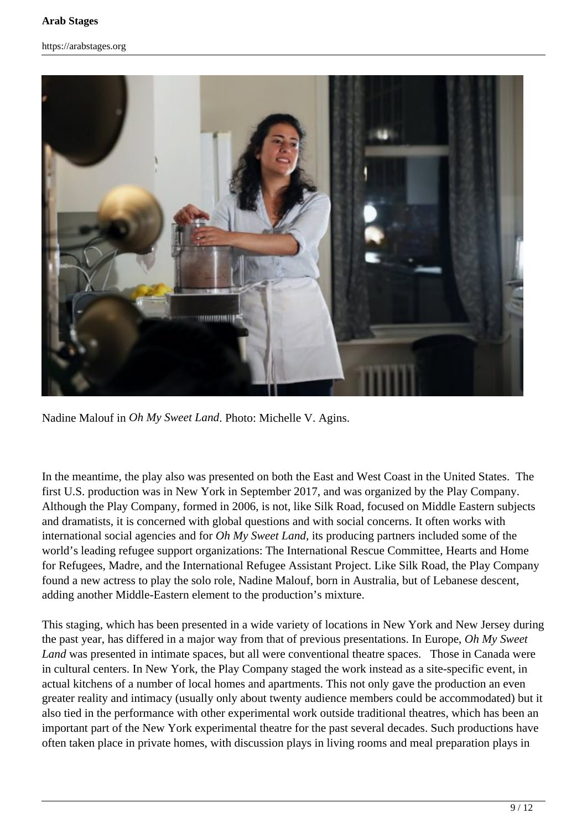#### **Arab Stages**

#### https://arabstages.org



Nadine Malouf in *Oh My Sweet Land*. Photo: Michelle V. Agins.

In the meantime, the play also was presented on both the East and West Coast in the United States. The first U.S. production was in New York in September 2017, and was organized by the Play Company. Although the Play Company, formed in 2006, is not, like Silk Road, focused on Middle Eastern subjects and dramatists, it is concerned with global questions and with social concerns. It often works with international social agencies and for *Oh My Sweet Land,* its producing partners included some of the world's leading refugee support organizations: The International Rescue Committee, Hearts and Home for Refugees, Madre, and the International Refugee Assistant Project. Like Silk Road, the Play Company found a new actress to play the solo role, Nadine Malouf, born in Australia, but of Lebanese descent, adding another Middle-Eastern element to the production's mixture.

This staging, which has been presented in a wide variety of locations in New York and New Jersey during the past year, has differed in a major way from that of previous presentations. In Europe, *Oh My Sweet Land* was presented in intimate spaces, but all were conventional theatre spaces. Those in Canada were in cultural centers. In New York, the Play Company staged the work instead as a site-specific event, in actual kitchens of a number of local homes and apartments. This not only gave the production an even greater reality and intimacy (usually only about twenty audience members could be accommodated) but it also tied in the performance with other experimental work outside traditional theatres, which has been an important part of the New York experimental theatre for the past several decades. Such productions have often taken place in private homes, with discussion plays in living rooms and meal preparation plays in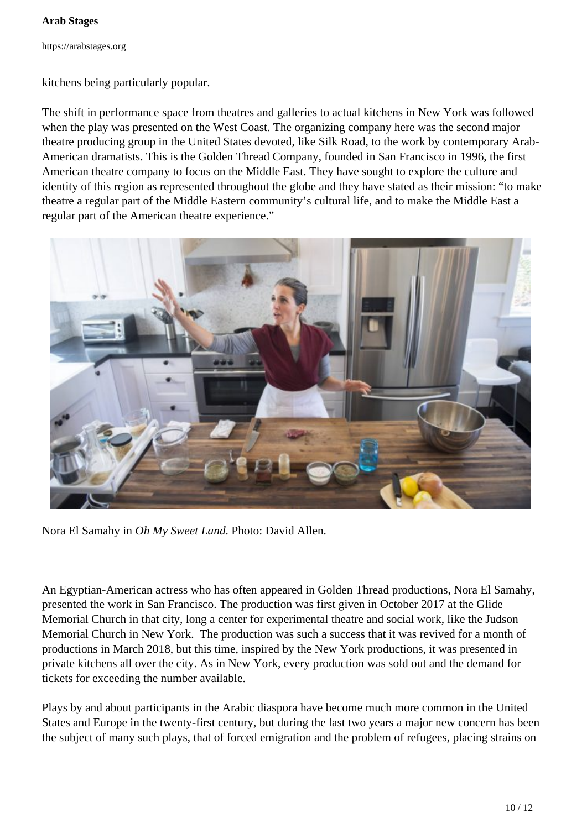kitchens being particularly popular.

The shift in performance space from theatres and galleries to actual kitchens in New York was followed when the play was presented on the West Coast. The organizing company here was the second major theatre producing group in the United States devoted, like Silk Road, to the work by contemporary Arab-American dramatists. This is the Golden Thread Company, founded in San Francisco in 1996, the first American theatre company to focus on the Middle East. They have sought to explore the culture and identity of this region as represented throughout the globe and they have stated as their mission: "to make theatre a regular part of the Middle Eastern community's cultural life, and to make the Middle East a regular part of the American theatre experience."



Nora El Samahy in *Oh My Sweet Land*. Photo: David Allen.

An Egyptian-American actress who has often appeared in Golden Thread productions, Nora El Samahy, presented the work in San Francisco. The production was first given in October 2017 at the Glide Memorial Church in that city, long a center for experimental theatre and social work, like the Judson Memorial Church in New York. The production was such a success that it was revived for a month of productions in March 2018, but this time, inspired by the New York productions, it was presented in private kitchens all over the city. As in New York, every production was sold out and the demand for tickets for exceeding the number available.

Plays by and about participants in the Arabic diaspora have become much more common in the United States and Europe in the twenty-first century, but during the last two years a major new concern has been the subject of many such plays, that of forced emigration and the problem of refugees, placing strains on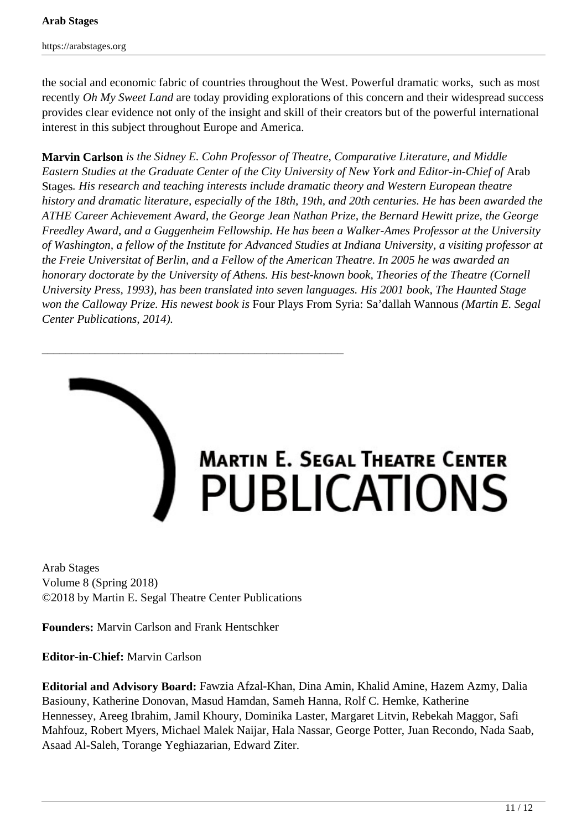the social and economic fabric of countries throughout the West. Powerful dramatic works, such as most recently *Oh My Sweet Land* are today providing explorations of this concern and their widespread success provides clear evidence not only of the insight and skill of their creators but of the powerful international interest in this subject throughout Europe and America.

**Marvin Carlson** *is the Sidney E. Cohn Professor of Theatre, Comparative Literature, and Middle Eastern Studies at the Graduate Center of the City University of New York and Editor-in-Chief of* Arab Stages*. His research and teaching interests include dramatic theory and Western European theatre history and dramatic literature, especially of the 18th, 19th, and 20th centuries. He has been awarded the ATHE Career Achievement Award, the George Jean Nathan Prize, the Bernard Hewitt prize, the George Freedley Award, and a Guggenheim Fellowship. He has been a Walker-Ames Professor at the University of Washington, a fellow of the Institute for Advanced Studies at Indiana University, a visiting professor at the Freie Universitat of Berlin, and a Fellow of the American Theatre. In 2005 he was awarded an honorary doctorate by the University of Athens. His best-known book, Theories of the Theatre (Cornell University Press, 1993), has been translated into seven languages. His 2001 book, The Haunted Stage won the Calloway Prize. His newest book is* Four Plays From Syria: Sa'dallah Wannous *(Martin E. Segal Center Publications, 2014).*



# MARTIN E. SEGAL THEATRE CENTER<br>PUBLICATIONS

Arab Stages Volume 8 (Spring 2018) ©2018 by Martin E. Segal Theatre Center Publications

\_\_\_\_\_\_\_\_\_\_\_\_\_\_\_\_\_\_\_\_\_\_\_\_\_\_\_\_\_\_\_\_\_\_\_\_\_\_\_\_\_\_\_\_\_\_\_\_\_\_\_

**Founders:** Marvin Carlson and Frank Hentschker

**Editor-in-Chief:** Marvin Carlson

**Editorial and Advisory Board:** Fawzia Afzal-Khan, Dina Amin, Khalid Amine, Hazem Azmy, Dalia Basiouny, Katherine Donovan, Masud Hamdan, Sameh Hanna, Rolf C. Hemke, Katherine Hennessey, Areeg Ibrahim, Jamil Khoury, Dominika Laster, Margaret Litvin, Rebekah Maggor, Safi Mahfouz, Robert Myers, Michael Malek Naijar, Hala Nassar, George Potter, Juan Recondo, Nada Saab, Asaad Al-Saleh, Torange Yeghiazarian, Edward Ziter.